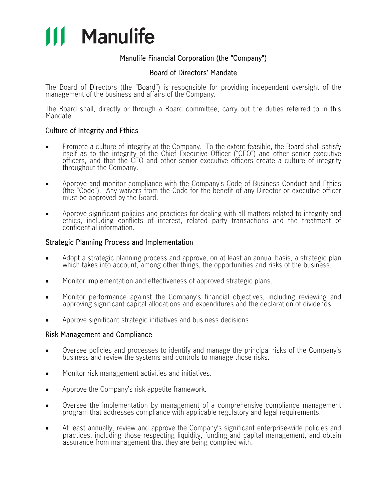

# Manulife Financial Corporation (the "Company")

## Board of Directors' Mandate

The Board of Directors (the "Board") is responsible for providing independent oversight of the management of the business and affairs of the Company.

The Board shall, directly or through a Board committee, carry out the duties referred to in this Mandate.

### Culture of Integrity and Ethics

- Promote a culture of integrity at the Company. To the extent feasible, the Board shall satisfy itself as to the integrity of the Chief Executive Officer ("CEO") and other senior executive officers, and that the CEO and other senior executive officers create a culture of integrity throughout the Company.
- Approve and monitor compliance with the Company's Code of Business Conduct and Ethics (the "Code"). Any waivers from the Code for the benefit of any Director or executive officer must be approved by the Board.
- Approve significant policies and practices for dealing with all matters related to integrity and ethics, including conflicts of interest, related party transactions and the treatment of confidential information.

### Strategic Planning Process and Implementation

- Adopt a strategic planning process and approve, on at least an annual basis, a strategic plan which takes into account, among other things, the opportunities and risks of the business.
- Monitor implementation and effectiveness of approved strategic plans.
- Monitor performance against the Company's financial objectives, including reviewing and approving significant capital allocations and expenditures and the declaration of dividends.
- Approve significant strategic initiatives and business decisions.

#### Risk Management and Compliance

- Oversee policies and processes to identify and manage the principal risks of the Company's business and review the systems and controls to manage those risks.
- Monitor risk management activities and initiatives.
- Approve the Company's risk appetite framework.
- Oversee the implementation by management of a comprehensive compliance management program that addresses compliance with applicable regulatory and legal requirements.
- At least annually, review and approve the Company's significant enterprise-wide policies and practices, including those respecting liquidity, funding and capital management, and obtain assurance from management that they are being complied with.